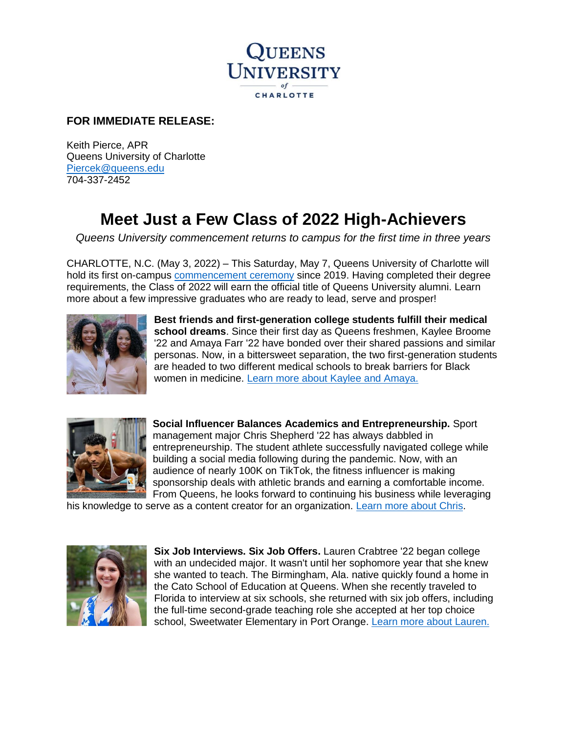

## **FOR IMMEDIATE RELEASE:**

Keith Pierce, APR Queens University of Charlotte [Piercek@queens.edu](mailto:Piercek@queens.edu) 704-337-2452

## **Meet Just a Few Class of 2022 High-Achievers**

*Queens University commencement returns to campus for the first time in three years* 

CHARLOTTE, N.C. (May 3, 2022) – This Saturday, May 7, Queens University of Charlotte will hold its first on-campus [commencement ceremony](https://www.queens.edu/academics/commencement/) since 2019. Having completed their degree requirements, the Class of 2022 will earn the official title of Queens University alumni. Learn more about a few impressive graduates who are ready to lead, serve and prosper!



**Best friends and first-generation college students fulfill their medical school dreams**. Since their first day as Queens freshmen, Kaylee Broome '22 and Amaya Farr '22 have bonded over their shared passions and similar personas. Now, in a bittersweet separation, the two first-generation students are headed to two different medical schools to break barriers for Black women in medicine. [Learn more about Kaylee and Amaya.](https://www.queens.edu/news/2022/kaylee-broome-and-amaya-farr-fulfill-their-medical-school-dreams.html) 



**Social Influencer Balances Academics and Entrepreneurship.** Sport management major Chris Shepherd '22 has always dabbled in entrepreneurship. The student athlete successfully navigated college while building a social media following during the pandemic. Now, with an audience of nearly 100K on TikTok, the fitness influencer is making sponsorship deals with athletic brands and earning a comfortable income. From Queens, he looks forward to continuing his business while leveraging

his knowledge to serve as a content creator for an organization. [Learn more about Chris.](https://www.queens.edu/news/2022/chris-shepherd-sport-management-social-media-influencer.html)



**Six Job Interviews. Six Job Offers.** Lauren Crabtree '22 began college with an undecided major. It wasn't until her sophomore year that she knew she wanted to teach. The Birmingham, Ala. native quickly found a home in the Cato School of Education at Queens. When she recently traveled to Florida to interview at six schools, she returned with six job offers, including the full-time second-grade teaching role she accepted at her top choice school, Sweetwater Elementary in Port Orange. [Learn more about Lauren.](https://www.queens.edu/news/2022/lauren-crabtree-six-job-interviews-six-job-offers.html)